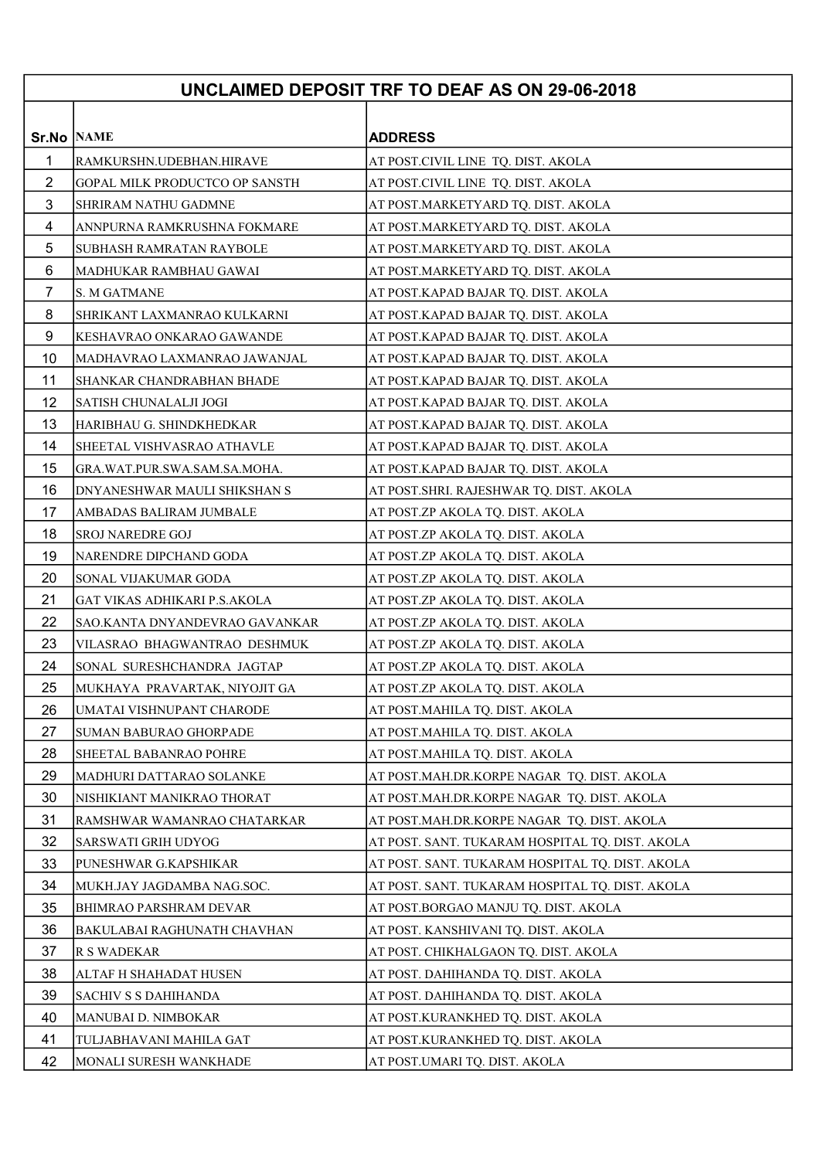## UNCLAIMED DEPOSIT TRF TO DEAF AS ON 29-06-2018

| <b>Sr.No NAME</b> |                                       | <b>ADDRESS</b>                                  |
|-------------------|---------------------------------------|-------------------------------------------------|
| $\mathbf 1$       | RAMKURSHN.UDEBHAN.HIRAVE              | AT POST.CIVIL LINE TQ. DIST. AKOLA              |
| $\overline{2}$    | <b>GOPAL MILK PRODUCTCO OP SANSTH</b> | AT POST.CIVIL LINE TQ. DIST. AKOLA              |
| 3                 | SHRIRAM NATHU GADMNE                  | AT POST.MARKETYARD TQ. DIST. AKOLA              |
| 4                 | ANNPURNA RAMKRUSHNA FOKMARE           | AT POST.MARKETYARD TQ. DIST. AKOLA              |
| 5                 | SUBHASH RAMRATAN RAYBOLE              | AT POST.MARKETYARD TQ. DIST. AKOLA              |
| 6                 | MADHUKAR RAMBHAU GAWAI                | AT POST.MARKETYARD TQ. DIST. AKOLA              |
| $\overline{7}$    | S. M GATMANE                          | AT POST.KAPAD BAJAR TQ. DIST. AKOLA             |
| 8                 | SHRIKANT LAXMANRAO KULKARNI           | AT POST.KAPAD BAJAR TQ. DIST. AKOLA             |
| 9                 | KESHAVRAO ONKARAO GAWANDE             | AT POST.KAPAD BAJAR TQ. DIST. AKOLA             |
| 10                | MADHAVRAO LAXMANRAO JAWANJAL          | AT POST.KAPAD BAJAR TQ. DIST. AKOLA             |
| 11                | SHANKAR CHANDRABHAN BHADE             | AT POST.KAPAD BAJAR TQ. DIST. AKOLA             |
| 12                | <b>SATISH CHUNALALJI JOGI</b>         | AT POST.KAPAD BAJAR TQ. DIST. AKOLA             |
| 13                | HARIBHAU G. SHINDKHEDKAR              | AT POST.KAPAD BAJAR TQ. DIST. AKOLA             |
| 14                | SHEETAL VISHVASRAO ATHAVLE            | AT POST.KAPAD BAJAR TQ. DIST. AKOLA             |
| 15                | GRA.WAT.PUR.SWA.SAM.SA.MOHA.          | AT POST.KAPAD BAJAR TQ. DIST. AKOLA             |
| 16                | DNYANESHWAR MAULI SHIKSHAN S          | AT POST.SHRI. RAJESHWAR TQ. DIST. AKOLA         |
| 17                | AMBADAS BALIRAM JUMBALE               | AT POST.ZP AKOLA TQ. DIST. AKOLA                |
| 18                | <b>SROJ NAREDRE GOJ</b>               | AT POST.ZP AKOLA TQ. DIST. AKOLA                |
| 19                | NARENDRE DIPCHAND GODA                | AT POST.ZP AKOLA TQ. DIST. AKOLA                |
| 20                | SONAL VIJAKUMAR GODA                  | AT POST.ZP AKOLA TQ. DIST. AKOLA                |
| 21                | GAT VIKAS ADHIKARI P.S.AKOLA          | AT POST.ZP AKOLA TQ. DIST. AKOLA                |
| 22                | SAO.KANTA DNYANDEVRAO GAVANKAR        | AT POST.ZP AKOLA TQ. DIST. AKOLA                |
| 23                | VILASRAO BHAGWANTRAO DESHMUK          | AT POST.ZP AKOLA TQ. DIST. AKOLA                |
| 24                | SONAL SURESHCHANDRA JAGTAP            | AT POST.ZP AKOLA TQ. DIST. AKOLA                |
| 25                | MUKHAYA PRAVARTAK, NIYOJIT GA         | AT POST.ZP AKOLA TQ. DIST. AKOLA                |
| 26                | UMATAI VISHNUPANT CHARODE             | AT POST.MAHILA TQ. DIST. AKOLA                  |
| 27                | <b>SUMAN BABURAO GHORPADE</b>         | AT POST.MAHILA TQ. DIST. AKOLA                  |
| 28                | SHEETAL BABANRAO POHRE                | AT POST.MAHILA TQ. DIST. AKOLA                  |
| 29                | MADHURI DATTARAO SOLANKE              | AT POST.MAH.DR.KORPE NAGAR TQ. DIST. AKOLA      |
| 30                | NISHIKIANT MANIKRAO THORAT            | AT POST.MAH.DR.KORPE NAGAR TQ. DIST. AKOLA      |
| 31                | RAMSHWAR WAMANRAO CHATARKAR           | AT POST.MAH.DR.KORPE NAGAR TQ. DIST. AKOLA      |
| 32                | SARSWATI GRIH UDYOG                   | AT POST. SANT. TUKARAM HOSPITAL TQ. DIST. AKOLA |
| 33                | PUNESHWAR G.KAPSHIKAR                 | AT POST. SANT. TUKARAM HOSPITAL TQ. DIST. AKOLA |
| 34                | MUKH.JAY JAGDAMBA NAG.SOC.            | AT POST. SANT. TUKARAM HOSPITAL TQ. DIST. AKOLA |
| 35                | BHIMRAO PARSHRAM DEVAR                | AT POST.BORGAO MANJU TQ. DIST. AKOLA            |
| 36                | BAKULABAI RAGHUNATH CHAVHAN           | AT POST. KANSHIVANI TQ. DIST. AKOLA             |
| 37                | <b>R S WADEKAR</b>                    | AT POST. CHIKHALGAON TQ. DIST. AKOLA            |
| 38                | ALTAF H SHAHADAT HUSEN                | AT POST. DAHIHANDA TQ. DIST. AKOLA              |
| 39                | SACHIV S S DAHIHANDA                  | AT POST. DAHIHANDA TQ. DIST. AKOLA              |
| 40                | MANUBAI D. NIMBOKAR                   | AT POST.KURANKHED TQ. DIST. AKOLA               |
| 41                | TULJABHAVANI MAHILA GAT               | AT POST.KURANKHED TQ. DIST. AKOLA               |
| 42                | MONALI SURESH WANKHADE                | AT POST.UMARI TQ. DIST. AKOLA                   |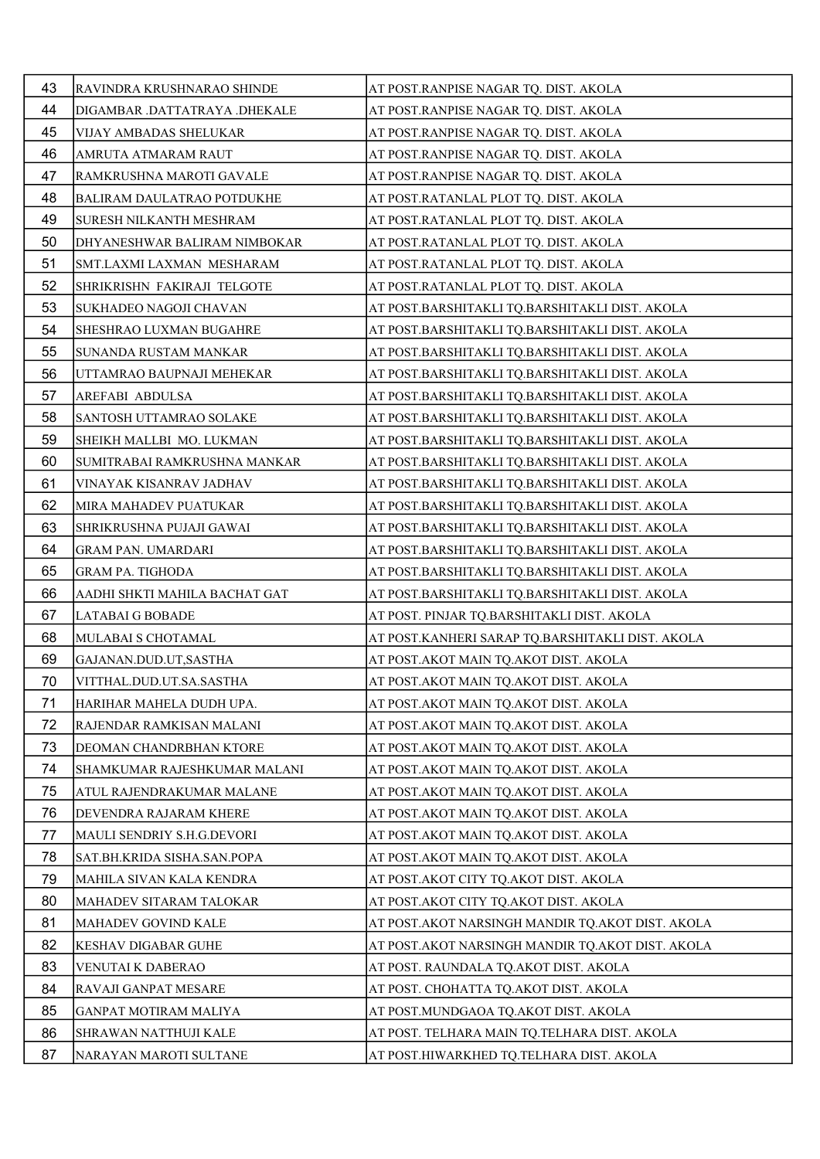| 43 | RAVINDRA KRUSHNARAO SHINDE        | AT POST.RANPISE NAGAR TQ. DIST. AKOLA            |
|----|-----------------------------------|--------------------------------------------------|
| 44 | DIGAMBAR .DATTATRAYA .DHEKALE     | AT POST.RANPISE NAGAR TQ. DIST. AKOLA            |
| 45 | VIJAY AMBADAS SHELUKAR            | AT POST.RANPISE NAGAR TQ. DIST. AKOLA            |
| 46 | AMRUTA ATMARAM RAUT               | AT POST.RANPISE NAGAR TQ. DIST. AKOLA            |
| 47 | RAMKRUSHNA MAROTI GAVALE          | AT POST.RANPISE NAGAR TQ. DIST. AKOLA            |
| 48 | <b>BALIRAM DAULATRAO POTDUKHE</b> | AT POST.RATANLAL PLOT TQ. DIST. AKOLA            |
| 49 | SURESH NILKANTH MESHRAM           | AT POST.RATANLAL PLOT TQ. DIST. AKOLA            |
| 50 | DHYANESHWAR BALIRAM NIMBOKAR      | AT POST.RATANLAL PLOT TQ. DIST. AKOLA            |
| 51 | SMT.LAXMI LAXMAN MESHARAM         | AT POST.RATANLAL PLOT TQ. DIST. AKOLA            |
| 52 | SHRIKRISHN FAKIRAJI TELGOTE       | AT POST.RATANLAL PLOT TQ. DIST. AKOLA            |
| 53 | SUKHADEO NAGOJI CHAVAN            | AT POST.BARSHITAKLI TQ.BARSHITAKLI DIST. AKOLA   |
| 54 | SHESHRAO LUXMAN BUGAHRE           | AT POST.BARSHITAKLI TQ.BARSHITAKLI DIST. AKOLA   |
| 55 | SUNANDA RUSTAM MANKAR             | AT POST.BARSHITAKLI TQ.BARSHITAKLI DIST. AKOLA   |
| 56 | UTTAMRAO BAUPNAJI MEHEKAR         | AT POST.BARSHITAKLI TQ.BARSHITAKLI DIST. AKOLA   |
| 57 | AREFABI ABDULSA                   | AT POST.BARSHITAKLI TQ.BARSHITAKLI DIST. AKOLA   |
| 58 | SANTOSH UTTAMRAO SOLAKE           | AT POST.BARSHITAKLI TQ.BARSHITAKLI DIST. AKOLA   |
| 59 | SHEIKH MALLBI MO. LUKMAN          | AT POST.BARSHITAKLI TQ.BARSHITAKLI DIST. AKOLA   |
| 60 | SUMITRABAI RAMKRUSHNA MANKAR      | AT POST.BARSHITAKLI TQ.BARSHITAKLI DIST. AKOLA   |
| 61 | VINAYAK KISANRAV JADHAV           | AT POST.BARSHITAKLI TQ.BARSHITAKLI DIST. AKOLA   |
| 62 | MIRA MAHADEV PUATUKAR             | AT POST.BARSHITAKLI TQ.BARSHITAKLI DIST. AKOLA   |
| 63 | SHRIKRUSHNA PUJAJI GAWAI          | AT POST.BARSHITAKLI TQ.BARSHITAKLI DIST. AKOLA   |
| 64 | <b>GRAM PAN. UMARDARI</b>         | AT POST.BARSHITAKLI TQ.BARSHITAKLI DIST. AKOLA   |
| 65 | <b>GRAM PA. TIGHODA</b>           | AT POST.BARSHITAKLI TQ.BARSHITAKLI DIST. AKOLA   |
| 66 | AADHI SHKTI MAHILA BACHAT GAT     | AT POST.BARSHITAKLI TQ.BARSHITAKLI DIST. AKOLA   |
| 67 | <b>LATABAI G BOBADE</b>           | AT POST. PINJAR TQ.BARSHITAKLI DIST. AKOLA       |
| 68 | MULABAI S CHOTAMAL                | AT POST.KANHERI SARAP TQ.BARSHITAKLI DIST. AKOLA |
| 69 | GAJANAN.DUD.UT, SASTHA            | AT POST.AKOT MAIN TQ.AKOT DIST. AKOLA            |
| 70 | VITTHAL.DUD.UT.SA.SASTHA          | AT POST.AKOT MAIN TQ.AKOT DIST. AKOLA            |
| 71 | HARIHAR MAHELA DUDH UPA.          | AT POST.AKOT MAIN TQ.AKOT DIST. AKOLA            |
| 72 | RAJENDAR RAMKISAN MALANI          | AT POST.AKOT MAIN TQ.AKOT DIST. AKOLA            |
| 73 | DEOMAN CHANDRBHAN KTORE           | AT POST.AKOT MAIN TQ.AKOT DIST. AKOLA            |
| 74 | SHAMKUMAR RAJESHKUMAR MALANI      | AT POST.AKOT MAIN TQ.AKOT DIST. AKOLA            |
| 75 | ATUL RAJENDRAKUMAR MALANE         | AT POST.AKOT MAIN TQ.AKOT DIST. AKOLA            |
| 76 | DEVENDRA RAJARAM KHERE            | AT POST.AKOT MAIN TQ.AKOT DIST. AKOLA            |
| 77 | MAULI SENDRIY S.H.G.DEVORI        | AT POST.AKOT MAIN TQ.AKOT DIST. AKOLA            |
| 78 | SAT.BH.KRIDA SISHA.SAN.POPA       | AT POST. AKOT MAIN TQ. AKOT DIST. AKOLA          |
| 79 | MAHILA SIVAN KALA KENDRA          | AT POST.AKOT CITY TQ.AKOT DIST. AKOLA            |
| 80 | MAHADEV SITARAM TALOKAR           | AT POST.AKOT CITY TQ.AKOT DIST. AKOLA            |
| 81 | MAHADEV GOVIND KALE               | AT POST.AKOT NARSINGH MANDIR TQ.AKOT DIST. AKOLA |
| 82 | KESHAV DIGABAR GUHE               | AT POST.AKOT NARSINGH MANDIR TQ.AKOT DIST. AKOLA |
| 83 | VENUTAI K DABERAO                 | AT POST. RAUNDALA TQ.AKOT DIST. AKOLA            |
| 84 | RAVAJI GANPAT MESARE              | AT POST. CHOHATTA TQ.AKOT DIST. AKOLA            |
| 85 | GANPAT MOTIRAM MALIYA             | AT POST.MUNDGAOA TQ.AKOT DIST. AKOLA             |
| 86 | SHRAWAN NATTHUJI KALE             | AT POST. TELHARA MAIN TQ.TELHARA DIST. AKOLA     |
| 87 | NARAYAN MAROTI SULTANE            | AT POST.HIWARKHED TQ.TELHARA DIST. AKOLA         |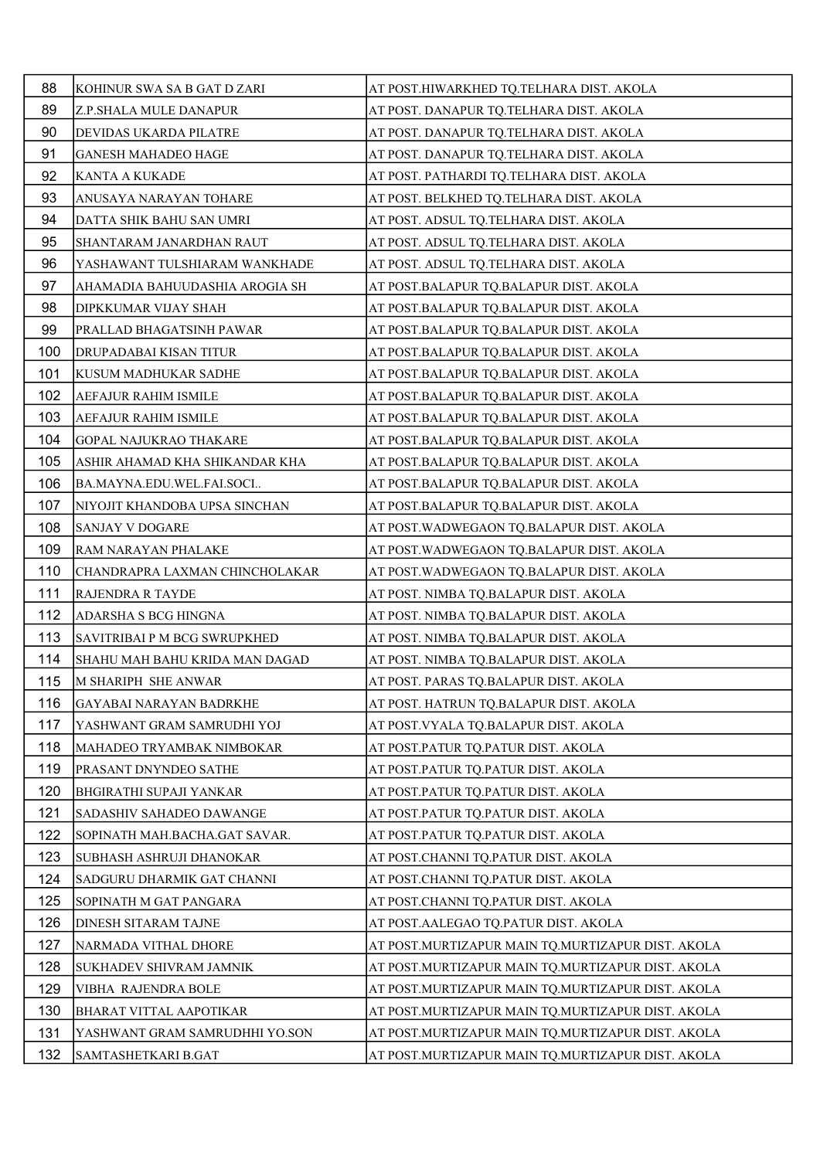| 88  | KOHINUR SWA SA B GAT D ZARI     | AT POST.HIWARKHED TQ.TELHARA DIST. AKOLA          |
|-----|---------------------------------|---------------------------------------------------|
| 89  | Z.P.SHALA MULE DANAPUR          | AT POST. DANAPUR TQ.TELHARA DIST. AKOLA           |
| 90  | DEVIDAS UKARDA PILATRE          | AT POST. DANAPUR TQ.TELHARA DIST. AKOLA           |
| 91  | <b>GANESH MAHADEO HAGE</b>      | AT POST. DANAPUR TQ.TELHARA DIST. AKOLA           |
| 92  | KANTA A KUKADE                  | AT POST. PATHARDI TQ.TELHARA DIST. AKOLA          |
| 93  | ANUSAYA NARAYAN TOHARE          | AT POST. BELKHED TQ.TELHARA DIST. AKOLA           |
| 94  | DATTA SHIK BAHU SAN UMRI        | AT POST. ADSUL TQ.TELHARA DIST. AKOLA             |
| 95  | SHANTARAM JANARDHAN RAUT        | AT POST. ADSUL TQ.TELHARA DIST. AKOLA             |
| 96  | YASHAWANT TULSHIARAM WANKHADE   | AT POST. ADSUL TQ.TELHARA DIST. AKOLA             |
| 97  | AHAMADIA BAHUUDASHIA AROGIA SH  | AT POST.BALAPUR TQ.BALAPUR DIST. AKOLA            |
| 98  | DIPKKUMAR VIJAY SHAH            | AT POST.BALAPUR TQ.BALAPUR DIST. AKOLA            |
| 99  | PRALLAD BHAGATSINH PAWAR        | AT POST.BALAPUR TQ.BALAPUR DIST. AKOLA            |
| 100 | DRUPADABAI KISAN TITUR          | AT POST.BALAPUR TQ.BALAPUR DIST. AKOLA            |
| 101 | KUSUM MADHUKAR SADHE            | AT POST.BALAPUR TQ.BALAPUR DIST. AKOLA            |
| 102 | <b>AEFAJUR RAHIM ISMILE</b>     | AT POST.BALAPUR TQ.BALAPUR DIST. AKOLA            |
| 103 | <b>AEFAJUR RAHIM ISMILE</b>     | AT POST.BALAPUR TQ.BALAPUR DIST. AKOLA            |
| 104 | <b>GOPAL NAJUKRAO THAKARE</b>   | AT POST.BALAPUR TQ.BALAPUR DIST. AKOLA            |
| 105 | ASHIR AHAMAD KHA SHIKANDAR KHA  | AT POST.BALAPUR TQ.BALAPUR DIST. AKOLA            |
| 106 | BA.MAYNA.EDU.WEL.FAI.SOCI       | AT POST.BALAPUR TQ.BALAPUR DIST. AKOLA            |
| 107 | NIYOJIT KHANDOBA UPSA SINCHAN   | AT POST.BALAPUR TQ.BALAPUR DIST. AKOLA            |
| 108 | <b>SANJAY V DOGARE</b>          | AT POST.WADWEGAON TQ.BALAPUR DIST. AKOLA          |
| 109 | RAM NARAYAN PHALAKE             | AT POST.WADWEGAON TQ.BALAPUR DIST. AKOLA          |
| 110 | CHANDRAPRA LAXMAN CHINCHOLAKAR  | AT POST.WADWEGAON TQ.BALAPUR DIST. AKOLA          |
| 111 | RAJENDRA R TAYDE                | AT POST. NIMBA TQ.BALAPUR DIST. AKOLA             |
| 112 | ADARSHA S BCG HINGNA            | AT POST. NIMBA TQ.BALAPUR DIST. AKOLA             |
| 113 | SAVITRIBAI P M BCG SWRUPKHED    | AT POST. NIMBA TQ.BALAPUR DIST. AKOLA             |
| 114 | SHAHU MAH BAHU KRIDA MAN DAGAD  | AT POST. NIMBA TQ.BALAPUR DIST. AKOLA             |
| 115 | M SHARIPH SHE ANWAR             | AT POST. PARAS TQ.BALAPUR DIST. AKOLA             |
| 116 | <b>GAYABAI NARAYAN BADRKHE</b>  | AT POST. HATRUN TQ.BALAPUR DIST. AKOLA            |
| 117 | YASHWANT GRAM SAMRUDHI YOJ      | AT POST.VYALA TQ.BALAPUR DIST. AKOLA              |
| 118 | MAHADEO TRYAMBAK NIMBOKAR       | AT POST.PATUR TQ.PATUR DIST. AKOLA                |
| 119 | PRASANT DNYNDEO SATHE           | AT POST.PATUR TQ.PATUR DIST. AKOLA                |
| 120 | <b>BHGIRATHI SUPAJI YANKAR</b>  | AT POST.PATUR TQ.PATUR DIST. AKOLA                |
| 121 | <b>SADASHIV SAHADEO DAWANGE</b> | AT POST.PATUR TQ.PATUR DIST. AKOLA                |
| 122 | SOPINATH MAH.BACHA.GAT SAVAR.   | AT POST.PATUR TQ.PATUR DIST. AKOLA                |
| 123 | SUBHASH ASHRUJI DHANOKAR        | AT POST.CHANNI TQ.PATUR DIST. AKOLA               |
| 124 | SADGURU DHARMIK GAT CHANNI      | AT POST.CHANNI TQ.PATUR DIST. AKOLA               |
| 125 | SOPINATH M GAT PANGARA          | AT POST.CHANNI TQ.PATUR DIST. AKOLA               |
| 126 | <b>DINESH SITARAM TAJNE</b>     | AT POST.AALEGAO TQ.PATUR DIST. AKOLA              |
| 127 | NARMADA VITHAL DHORE            | AT POST.MURTIZAPUR MAIN TQ.MURTIZAPUR DIST. AKOLA |
| 128 | SUKHADEV SHIVRAM JAMNIK         | AT POST.MURTIZAPUR MAIN TQ.MURTIZAPUR DIST. AKOLA |
| 129 | VIBHA RAJENDRA BOLE             | AT POST.MURTIZAPUR MAIN TQ.MURTIZAPUR DIST. AKOLA |
| 130 | <b>BHARAT VITTAL AAPOTIKAR</b>  | AT POST.MURTIZAPUR MAIN TQ.MURTIZAPUR DIST. AKOLA |
| 131 | YASHWANT GRAM SAMRUDHHI YO.SON  | AT POST.MURTIZAPUR MAIN TQ.MURTIZAPUR DIST. AKOLA |
| 132 | SAMTASHETKARI B.GAT             | AT POST.MURTIZAPUR MAIN TQ.MURTIZAPUR DIST. AKOLA |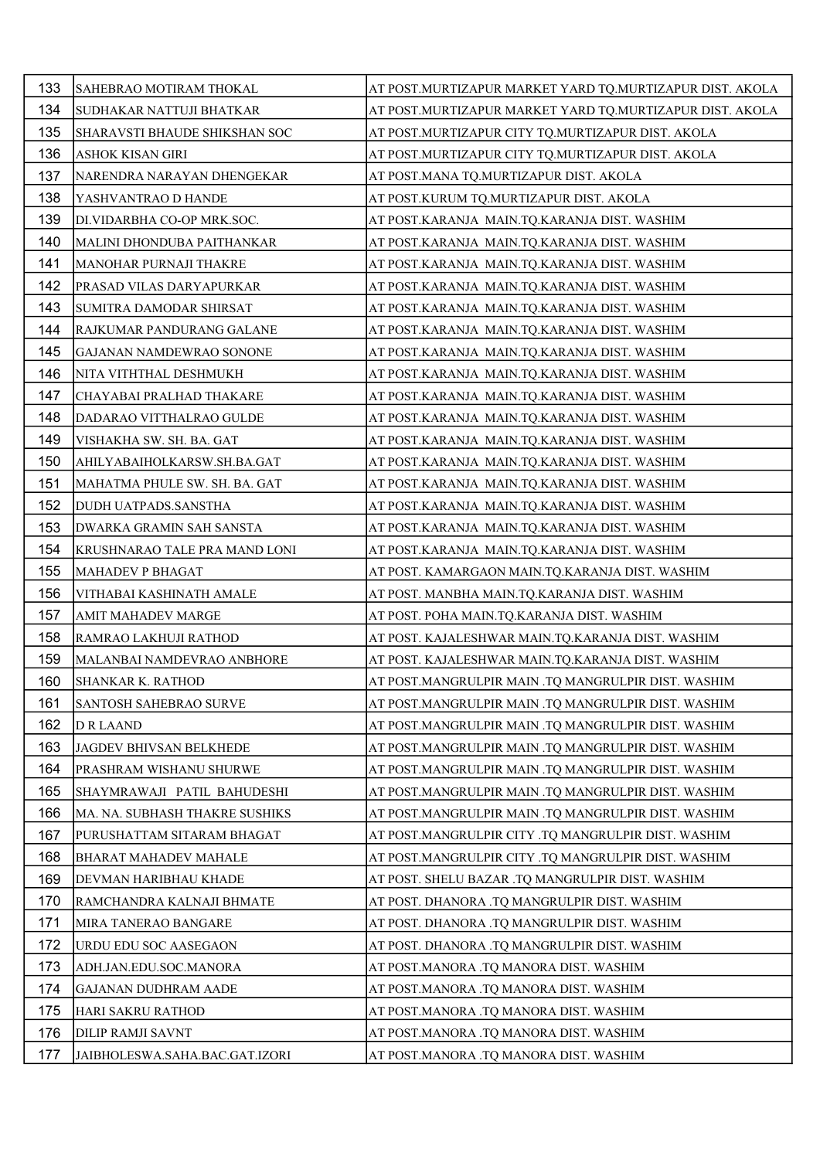| 133 | SAHEBRAO MOTIRAM THOKAL        | AT POST.MURTIZAPUR MARKET YARD TQ.MURTIZAPUR DIST. AKOLA |
|-----|--------------------------------|----------------------------------------------------------|
| 134 | SUDHAKAR NATTUJI BHATKAR       | AT POST.MURTIZAPUR MARKET YARD TQ.MURTIZAPUR DIST. AKOLA |
| 135 | SHARAVSTI BHAUDE SHIKSHAN SOC  | AT POST.MURTIZAPUR CITY TQ.MURTIZAPUR DIST. AKOLA        |
| 136 | ASHOK KISAN GIRI               | AT POST.MURTIZAPUR CITY TQ.MURTIZAPUR DIST. AKOLA        |
| 137 | NARENDRA NARAYAN DHENGEKAR     | AT POST.MANA TQ.MURTIZAPUR DIST. AKOLA                   |
| 138 | YASHVANTRAO D HANDE            | AT POST.KURUM TQ.MURTIZAPUR DIST. AKOLA                  |
| 139 | DI.VIDARBHA CO-OP MRK.SOC.     | AT POST.KARANJA MAIN.TQ.KARANJA DIST. WASHIM             |
| 140 | MALINI DHONDUBA PAITHANKAR     | AT POST.KARANJA MAIN.TQ.KARANJA DIST. WASHIM             |
| 141 | MANOHAR PURNAJI THAKRE         | AT POST.KARANJA MAIN.TQ.KARANJA DIST. WASHIM             |
| 142 | PRASAD VILAS DARYAPURKAR       | AT POST.KARANJA MAIN.TQ.KARANJA DIST. WASHIM             |
| 143 | SUMITRA DAMODAR SHIRSAT        | AT POST.KARANJA MAIN.TQ.KARANJA DIST. WASHIM             |
| 144 | RAJKUMAR PANDURANG GALANE      | AT POST.KARANJA MAIN.TQ.KARANJA DIST. WASHIM             |
| 145 | GAJANAN NAMDEWRAO SONONE       | AT POST.KARANJA MAIN.TQ.KARANJA DIST. WASHIM             |
| 146 | NITA VITHTHAL DESHMUKH         | AT POST.KARANJA MAIN.TQ.KARANJA DIST. WASHIM             |
| 147 | CHAYABAI PRALHAD THAKARE       | AT POST.KARANJA MAIN.TQ.KARANJA DIST. WASHIM             |
| 148 | DADARAO VITTHALRAO GULDE       | AT POST.KARANJA MAIN.TQ.KARANJA DIST. WASHIM             |
| 149 | VISHAKHA SW. SH. BA. GAT       | AT POST.KARANJA MAIN.TQ.KARANJA DIST. WASHIM             |
| 150 | AHILYABAIHOLKARSW.SH.BA.GAT    | AT POST.KARANJA MAIN.TQ.KARANJA DIST. WASHIM             |
| 151 | MAHATMA PHULE SW. SH. BA. GAT  | AT POST.KARANJA MAIN.TQ.KARANJA DIST. WASHIM             |
| 152 | DUDH UATPADS.SANSTHA           | AT POST.KARANJA MAIN.TQ.KARANJA DIST. WASHIM             |
| 153 | DWARKA GRAMIN SAH SANSTA       | AT POST.KARANJA MAIN.TQ.KARANJA DIST. WASHIM             |
| 154 | KRUSHNARAO TALE PRA MAND LONI  | AT POST.KARANJA MAIN.TQ.KARANJA DIST. WASHIM             |
| 155 | <b>MAHADEV P BHAGAT</b>        | AT POST. KAMARGAON MAIN.TQ.KARANJA DIST. WASHIM          |
| 156 | VITHABAI KASHINATH AMALE       | AT POST. MANBHA MAIN.TQ.KARANJA DIST. WASHIM             |
| 157 | <b>AMIT MAHADEV MARGE</b>      | AT POST. POHA MAIN.TQ.KARANJA DIST. WASHIM               |
| 158 | RAMRAO LAKHUJI RATHOD          | AT POST. KAJALESHWAR MAIN.TQ.KARANJA DIST. WASHIM        |
| 159 | MALANBAI NAMDEVRAO ANBHORE     | AT POST. KAJALESHWAR MAIN.TQ.KARANJA DIST. WASHIM        |
| 160 | SHANKAR K. RATHOD              | AT POST.MANGRULPIR MAIN .TQ MANGRULPIR DIST. WASHIM      |
| 161 | SANTOSH SAHEBRAO SURVE         | AT POST.MANGRULPIR MAIN .TQ MANGRULPIR DIST. WASHIM      |
| 162 | <b>D R LAAND</b>               | AT POST.MANGRULPIR MAIN .TQ MANGRULPIR DIST. WASHIM      |
| 163 | JAGDEV BHIVSAN BELKHEDE        | AT POST.MANGRULPIR MAIN .TQ MANGRULPIR DIST. WASHIM      |
| 164 | PRASHRAM WISHANU SHURWE        | AT POST.MANGRULPIR MAIN .TQ MANGRULPIR DIST. WASHIM      |
| 165 | SHAYMRAWAJI PATIL BAHUDESHI    | AT POST.MANGRULPIR MAIN .TQ MANGRULPIR DIST. WASHIM      |
| 166 | MA. NA. SUBHASH THAKRE SUSHIKS | AT POST.MANGRULPIR MAIN .TQ MANGRULPIR DIST. WASHIM      |
| 167 | PURUSHATTAM SITARAM BHAGAT     | AT POST.MANGRULPIR CITY .TQ MANGRULPIR DIST. WASHIM      |
| 168 | <b>BHARAT MAHADEV MAHALE</b>   | AT POST.MANGRULPIR CITY .TQ MANGRULPIR DIST. WASHIM      |
| 169 | DEVMAN HARIBHAU KHADE          | AT POST. SHELU BAZAR .TQ MANGRULPIR DIST. WASHIM         |
| 170 | RAMCHANDRA KALNAJI BHMATE      | AT POST. DHANORA .TQ MANGRULPIR DIST. WASHIM             |
| 171 | MIRA TANERAO BANGARE           | AT POST. DHANORA .TQ MANGRULPIR DIST. WASHIM             |
| 172 | URDU EDU SOC AASEGAON          | AT POST. DHANORA .TQ MANGRULPIR DIST. WASHIM             |
| 173 | ADH.JAN.EDU.SOC.MANORA         | AT POST.MANORA .TQ MANORA DIST. WASHIM                   |
| 174 | GAJANAN DUDHRAM AADE           | AT POST.MANORA .TQ MANORA DIST. WASHIM                   |
| 175 | HARI SAKRU RATHOD              | AT POST.MANORA .TQ MANORA DIST. WASHIM                   |
| 176 | DILIP RAMJI SAVNT              | AT POST.MANORA .TQ MANORA DIST. WASHIM                   |
| 177 | JAIBHOLESWA.SAHA.BAC.GAT.IZORI | AT POST.MANORA .TQ MANORA DIST. WASHIM                   |